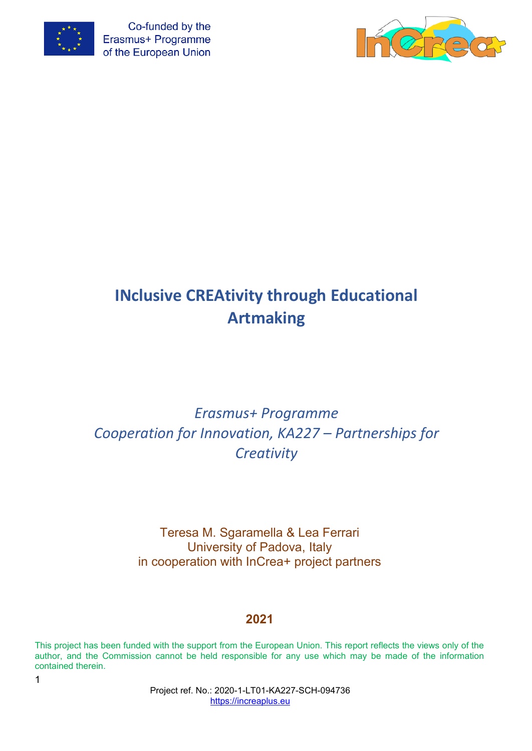



# **INclusive CREAtivity through Educational Artmaking**

# *Erasmus+ Programme Cooperation for Innovation, KA227 – Partnerships for Creativity*

Teresa M. Sgaramella & Lea Ferrari University of Padova, Italy in cooperation with InCrea+ project partners

# **2021**

This project has been funded with the support from the European Union. This report reflects the views only of the author, and the Commission cannot be held responsible for any use which may be made of the information contained therein.

> Project ref. No.: 2020-1-LT01-KA227-SCH-094736 [https://increaplus.eu](https://increaplus.eu/)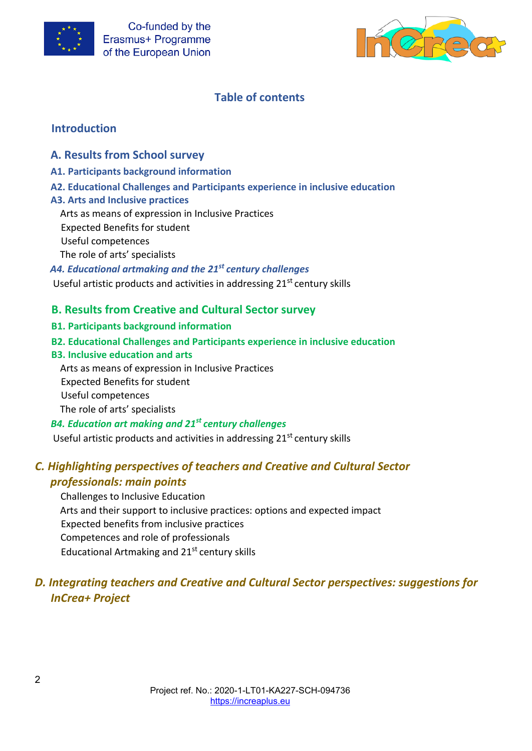



# **Table of contents**

# **Introduction**

## **A. Results from School survey**

- **A1. Participants background information**
- **A2. Educational Challenges and Participants experience in inclusive education**

#### **A3. Arts and Inclusive practices**

Arts as means of expression in Inclusive Practices

- Expected Benefits for student
- Useful competences
- The role of arts' specialists
- *A4. Educational artmaking and the 21st century challenges*

Useful artistic products and activities in addressing 21<sup>st</sup> century skills

# **B. Results from Creative and Cultural Sector survey**

- **B1. Participants background information**
- **B2. Educational Challenges and Participants experience in inclusive education**
- **B3. Inclusive education and arts**

Arts as means of expression in Inclusive Practices

Expected Benefits for student

Useful competences

The role of arts' specialists

## *B4. Education art making and 21st century challenges*

Useful artistic products and activities in addressing 21<sup>st</sup> century skills

# *C. Highlighting perspectives of teachers and Creative and Cultural Sector professionals: main points*

Challenges to Inclusive Education Arts and their support to inclusive practices: options and expected impact Expected benefits from inclusive practices Competences and role of professionals Educational Artmaking and  $21<sup>st</sup>$  century skills

# *D. Integrating teachers and Creative and Cultural Sector perspectives: suggestions for InCrea+ Project*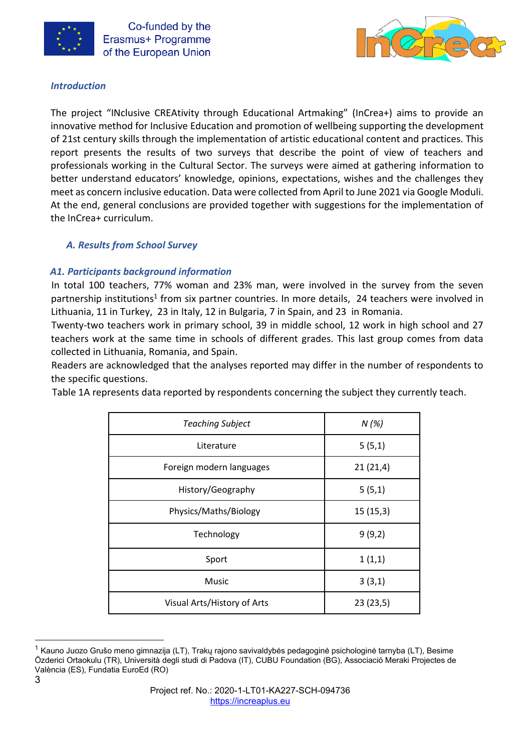



#### *Introduction*

The project "INclusive CREAtivity through Educational Artmaking" (InCrea+) aims to provide an innovative method for Inclusive Education and promotion of wellbeing supporting the development of 21st century skills through the implementation of artistic educational content and practices. This report presents the results of two surveys that describe the point of view of teachers and professionals working in the Cultural Sector. The surveys were aimed at gathering information to better understand educators' knowledge, opinions, expectations, wishes and the challenges they meet as concern inclusive education. Data were collected from April to June 2021 via Google Moduli. At the end, general conclusions are provided together with suggestions for the implementation of the InCrea+ curriculum.

## *A. Results from School Survey*

## *A1. Participants background information*

In total 100 teachers, 77% woman and 23% man, were involved in the survey from the seven partnership institutions<sup>1</sup> from six partner countries. In more details, 24 teachers were involved in Lithuania, 11 in Turkey, 23 in Italy, 12 in Bulgaria, 7 in Spain, and 23 in Romania.

Twenty-two teachers work in primary school, 39 in middle school, 12 work in high school and 27 teachers work at the same time in schools of different grades. This last group comes from data collected in Lithuania, Romania, and Spain.

Readers are acknowledged that the analyses reported may differ in the number of respondents to the specific questions.

Table 1A represents data reported by respondents concerning the subject they currently teach.

| <b>Teaching Subject</b>     | N(%)     |
|-----------------------------|----------|
| Literature                  | 5(5,1)   |
| Foreign modern languages    | 21(21,4) |
| History/Geography           | 5(5,1)   |
| Physics/Maths/Biology       | 15(15,3) |
| Technology                  | 9(9,2)   |
| Sport                       | 1(1,1)   |
| Music                       | 3(3,1)   |
| Visual Arts/History of Arts | 23(23,5) |

 $^{\text{1}}$  Kauno Juozo Grušo meno gimnazija (LT), Trakų rajono savivaldybės pedagoginė psichologinė tarnyba (LT), Besime Özderici Ortaokulu (TR), Università degli studi di Padova (IT), CUBU Foundation (BG), Associació Meraki Projectes de València (ES), Fundatia EuroEd (RO)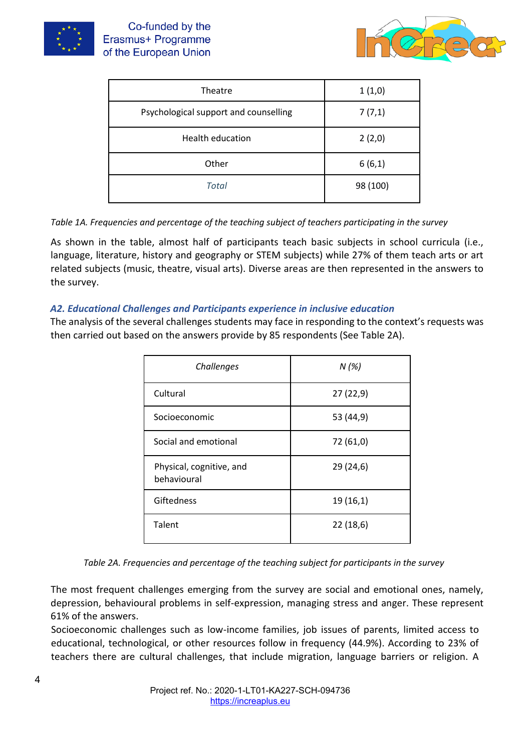



| Theatre                               | 1(1,0)   |
|---------------------------------------|----------|
| Psychological support and counselling | 7(7,1)   |
| Health education                      | 2(2,0)   |
| Other                                 | 6(6,1)   |
| <b>Total</b>                          | 98 (100) |

*Table 1A. Frequencies and percentage of the teaching subject of teachers participating in the survey*

As shown in the table, almost half of participants teach basic subjects in school curricula (i.e., language, literature, history and geography or STEM subjects) while 27% of them teach arts or art related subjects (music, theatre, visual arts). Diverse areas are then represented in the answers to the survey.

## *A2. Educational Challenges and Participants experience in inclusive education*

The analysis of the several challenges students may face in responding to the context's requests was then carried out based on the answers provide by 85 respondents (See Table 2A).

| Challenges                              | N(%)      |
|-----------------------------------------|-----------|
| Cultural                                | 27(22,9)  |
| Socioeconomic                           | 53 (44,9) |
| Social and emotional                    | 72 (61,0) |
| Physical, cognitive, and<br>behavioural | 29 (24,6) |
| Giftedness                              | 19(16,1)  |
| Talent                                  | 22(18,6)  |

*Table 2A. Frequencies and percentage of the teaching subject for participants in the survey* 

The most frequent challenges emerging from the survey are social and emotional ones, namely, depression, behavioural problems in self-expression, managing stress and anger. These represent 61% of the answers.

Socioeconomic challenges such as low-income families, job issues of parents, limited access to educational, technological, or other resources follow in frequency (44.9%). According to 23% of teachers there are cultural challenges, that include migration, language barriers or religion. A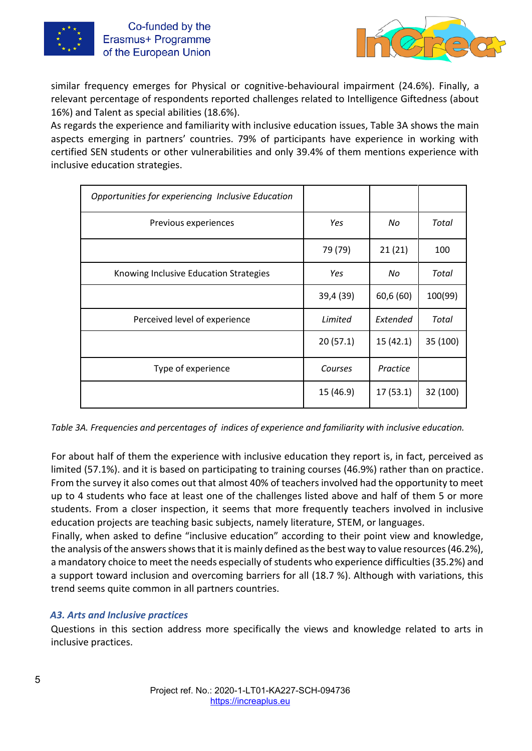



similar frequency emerges for Physical or cognitive-behavioural impairment (24.6%). Finally, a relevant percentage of respondents reported challenges related to Intelligence Giftedness (about 16%) and Talent as special abilities (18.6%).

As regards the experience and familiarity with inclusive education issues, Table 3A shows the main aspects emerging in partners' countries. 79% of participants have experience in working with certified SEN students or other vulnerabilities and only 39.4% of them mentions experience with inclusive education strategies.

| Opportunities for experiencing Inclusive Education |           |           |          |
|----------------------------------------------------|-----------|-----------|----------|
| Previous experiences                               | Yes       | No        | Total    |
|                                                    | 79 (79)   | 21(21)    | 100      |
| Knowing Inclusive Education Strategies             | Yes       | No        | Total    |
|                                                    | 39,4 (39) | 60,6 (60) | 100(99)  |
| Perceived level of experience                      | Limited   | Extended  | Total    |
|                                                    | 20(57.1)  | 15(42.1)  | 35 (100) |
| Type of experience                                 | Courses   | Practice  |          |
|                                                    | 15 (46.9) | 17(53.1)  | 32 (100) |

*Table 3A. Frequencies and percentages of indices of experience and familiarity with inclusive education.*

For about half of them the experience with inclusive education they report is, in fact, perceived as limited (57.1%). and it is based on participating to training courses (46.9%) rather than on practice. From the survey it also comes out that almost 40% of teachers involved had the opportunity to meet up to 4 students who face at least one of the challenges listed above and half of them 5 or more students. From a closer inspection, it seems that more frequently teachers involved in inclusive education projects are teaching basic subjects, namely literature, STEM, or languages.

Finally, when asked to define "inclusive education" according to their point view and knowledge, the analysis of the answers shows that it is mainly defined as the best way to value resources (46.2%), a mandatory choice to meet the needs especially of students who experience difficulties (35.2%) and a support toward inclusion and overcoming barriers for all (18.7 %). Although with variations, this trend seems quite common in all partners countries.

#### *A3. Arts and Inclusive practices*

Questions in this section address more specifically the views and knowledge related to arts in inclusive practices.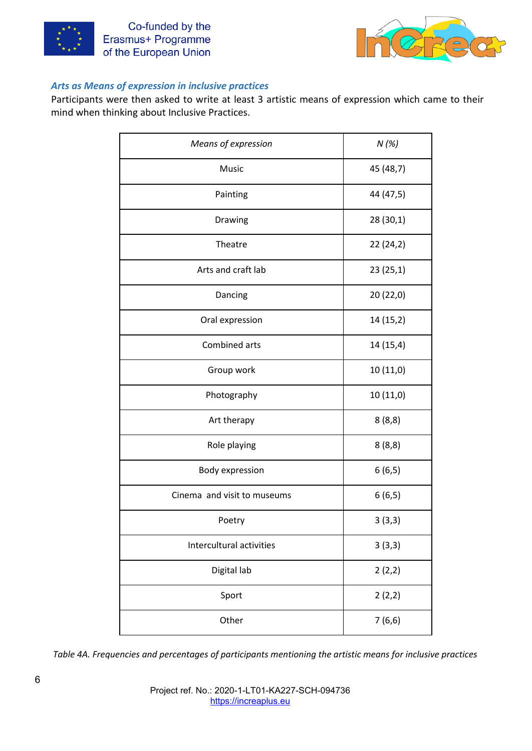



#### *Arts as Means of expression in inclusive practices*

Participants were then asked to write at least 3 artistic means of expression which came to their mind when thinking about Inclusive Practices.

| Means of expression         | N(%)      |
|-----------------------------|-----------|
| Music                       | 45 (48,7) |
| Painting                    | 44 (47,5) |
| Drawing                     | 28 (30,1) |
| Theatre                     | 22(24,2)  |
| Arts and craft lab          | 23(25,1)  |
| Dancing                     | 20 (22,0) |
| Oral expression             | 14 (15,2) |
| Combined arts               | 14 (15,4) |
| Group work                  | 10 (11,0) |
| Photography                 | 10(11,0)  |
| Art therapy                 | 8(8,8)    |
| Role playing                | 8(8,8)    |
| Body expression             | 6(6,5)    |
| Cinema and visit to museums | 6(6,5)    |
| Poetry                      | 3(3,3)    |
| Intercultural activities    | 3(3,3)    |
| Digital lab                 | 2(2,2)    |
| Sport                       | 2(2,2)    |
| Other                       | 7(6,6)    |

*Table 4A. Frequencies and percentages of participants mentioning the artistic means for inclusive practices*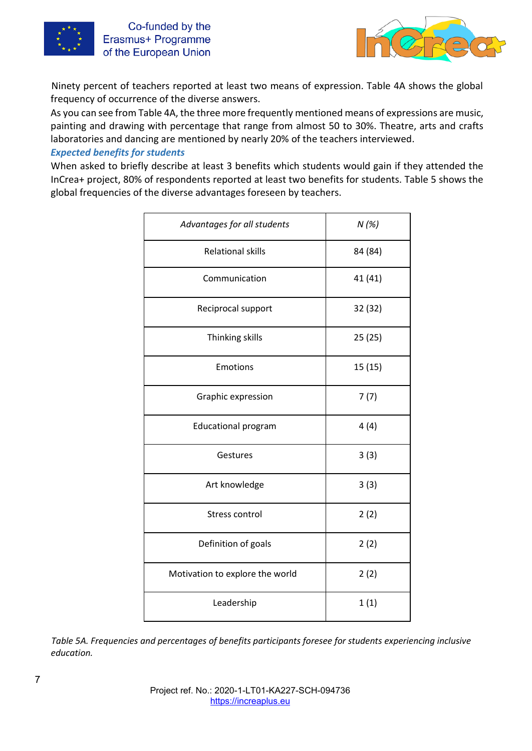



Ninety percent of teachers reported at least two means of expression. Table 4A shows the global frequency of occurrence of the diverse answers.

As you can see from Table 4A, the three more frequently mentioned means of expressions are music, painting and drawing with percentage that range from almost 50 to 30%. Theatre, arts and crafts laboratories and dancing are mentioned by nearly 20% of the teachers interviewed.

#### *Expected benefits for students*

When asked to briefly describe at least 3 benefits which students would gain if they attended the InCrea+ project, 80% of respondents reported at least two benefits for students. Table 5 shows the global frequencies of the diverse advantages foreseen by teachers.

| Advantages for all students     | N(%)    |
|---------------------------------|---------|
| <b>Relational skills</b>        | 84 (84) |
| Communication                   | 41 (41) |
| Reciprocal support              | 32 (32) |
| Thinking skills                 | 25 (25) |
| Emotions                        | 15(15)  |
| Graphic expression              | 7(7)    |
| <b>Educational program</b>      | 4(4)    |
| Gestures                        | 3(3)    |
| Art knowledge                   | 3(3)    |
| Stress control                  | 2(2)    |
| Definition of goals             | 2(2)    |
| Motivation to explore the world | 2(2)    |
| Leadership                      | 1(1)    |

*Table 5A. Frequencies and percentages of benefits participants foresee for students experiencing inclusive education.*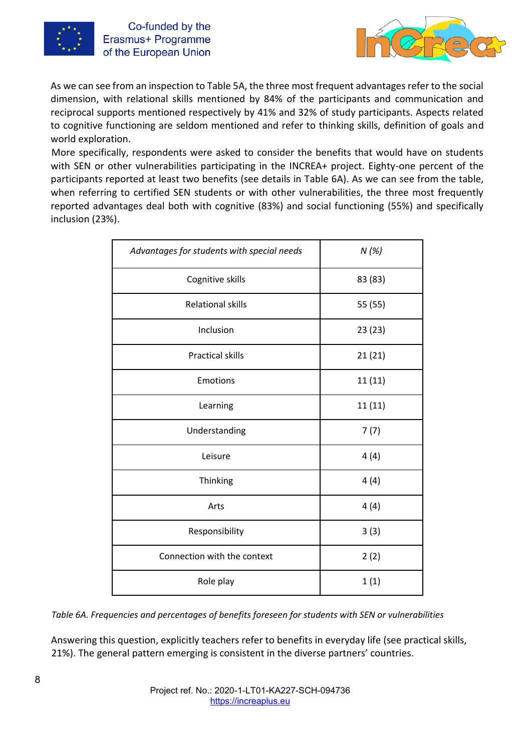



As we can see from an inspection to Table 5A, the three most frequent advantages refer to the social dimension, with relational skills mentioned by 84% of the participants and communication and reciprocal supports mentioned respectively by 41% and 32% of study participants. Aspects related to cognitive functioning are seldom mentioned and refer to thinking skills, definition of goals and world exploration.

More specifically, respondents were asked to consider the benefits that would have on students with SEN or other vulnerabilities participating in the INCREA+ project. Eighty-one percent of the participants reported at least two benefits (see details in Table 6A). As we can see from the table, when referring to certified SEN students or with other vulnerabilities, the three most frequently reported advantages deal both with cognitive (83%) and social functioning (55%) and specifically inclusion (23%).

| Advantages for students with special needs | N(%)    |
|--------------------------------------------|---------|
| Cognitive skills                           | 83 (83) |
| <b>Relational skills</b>                   | 55 (55) |
| Inclusion                                  | 23 (23) |
| <b>Practical skills</b>                    | 21(21)  |
| <b>Emotions</b>                            | 11 (11) |
| Learning                                   | 11 (11) |
| Understanding                              | 7(7)    |
| Leisure                                    | 4(4)    |
| Thinking                                   | 4(4)    |
| Arts                                       | 4(4)    |
| Responsibility                             | 3(3)    |
| Connection with the context                | 2(2)    |
| Role play                                  | 1(1)    |

*Table 6A. Frequencies and percentages of benefits foreseen for students with SEN or vulnerabilities* 

Answering this question, explicitly teachers refer to benefits in everyday life (see practical skills, 21%). The general pattern emerging is consistent in the diverse partners' countries.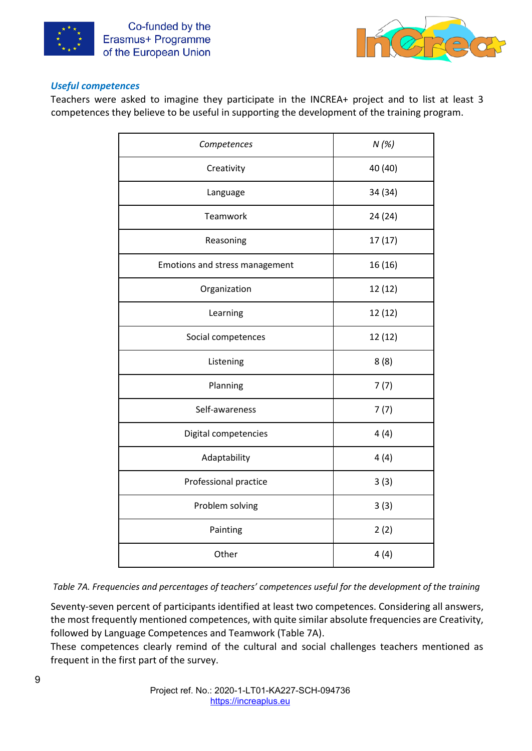



#### *Useful competences*

Teachers were asked to imagine they participate in the INCREA+ project and to list at least 3 competences they believe to be useful in supporting the development of the training program.

| Competences                    | N(%)    |
|--------------------------------|---------|
| Creativity                     | 40 (40) |
| Language                       | 34 (34) |
| Teamwork                       | 24 (24) |
| Reasoning                      | 17(17)  |
| Emotions and stress management | 16(16)  |
| Organization                   | 12 (12) |
| Learning                       | 12(12)  |
| Social competences             | 12(12)  |
| Listening                      | 8(8)    |
| Planning                       | 7(7)    |
| Self-awareness                 | 7(7)    |
| Digital competencies           | 4(4)    |
| Adaptability                   | 4(4)    |
| Professional practice          | 3(3)    |
| Problem solving                | 3(3)    |
| Painting                       | 2(2)    |
| Other                          | 4(4)    |

*Table 7A. Frequencies and percentages of teachers' competences useful for the development of the training* 

Seventy-seven percent of participants identified at least two competences. Considering all answers, the most frequently mentioned competences, with quite similar absolute frequencies are Creativity, followed by Language Competences and Teamwork (Table 7A).

These competences clearly remind of the cultural and social challenges teachers mentioned as frequent in the first part of the survey.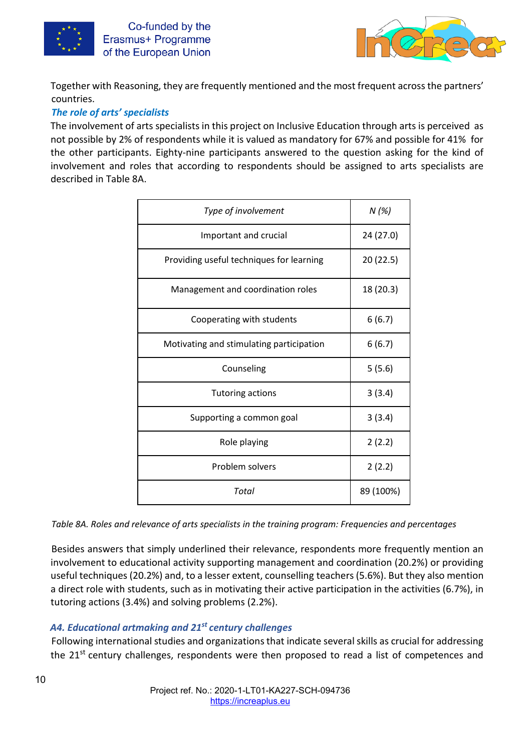

Co-funded by the Erasmus+ Programme of the European Union



Together with Reasoning, they are frequently mentioned and the most frequent across the partners' countries.

## *The role of arts' specialists*

The involvement of arts specialists in this project on Inclusive Education through arts is perceived as not possible by 2% of respondents while it is valued as mandatory for 67% and possible for 41% for the other participants. Eighty-nine participants answered to the question asking for the kind of involvement and roles that according to respondents should be assigned to arts specialists are described in Table 8A.

| Type of involvement                      | N(%)      |
|------------------------------------------|-----------|
| Important and crucial                    | 24 (27.0) |
| Providing useful techniques for learning | 20 (22.5) |
| Management and coordination roles        | 18 (20.3) |
| Cooperating with students                | 6(6.7)    |
| Motivating and stimulating participation | 6(6.7)    |
| Counseling                               | 5(5.6)    |
| <b>Tutoring actions</b>                  | 3(3.4)    |
| Supporting a common goal                 | 3(3.4)    |
| Role playing                             | 2(2.2)    |
| Problem solvers                          | 2(2.2)    |
| Total                                    | 89 (100%) |

*Table 8A. Roles and relevance of arts specialists in the training program: Frequencies and percentages* 

Besides answers that simply underlined their relevance, respondents more frequently mention an involvement to educational activity supporting management and coordination (20.2%) or providing useful techniques (20.2%) and, to a lesser extent, counselling teachers (5.6%). But they also mention a direct role with students, such as in motivating their active participation in the activities (6.7%), in tutoring actions (3.4%) and solving problems (2.2%).

## *A4. Educational artmaking and 21st century challenges*

Following international studies and organizations that indicate several skills as crucial for addressing the 21<sup>st</sup> century challenges, respondents were then proposed to read a list of competences and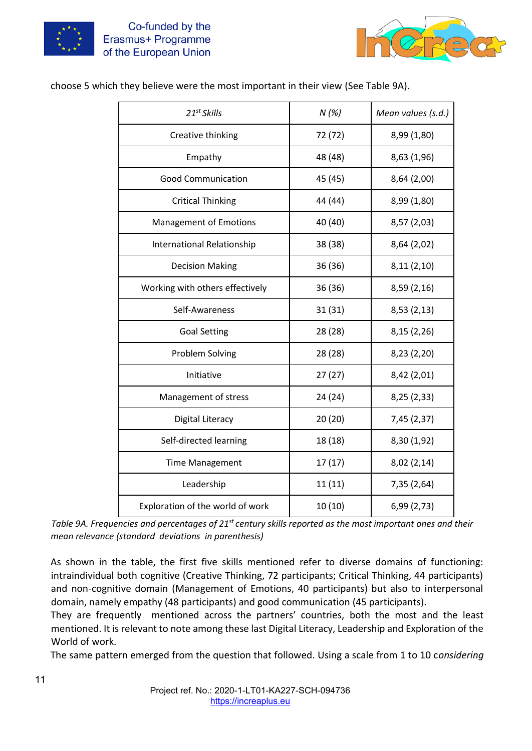



choose 5 which they believe were the most important in their view (See Table 9A).

| $21^{st}$ Skills                  | N(%)    | Mean values (s.d.) |
|-----------------------------------|---------|--------------------|
| Creative thinking                 | 72 (72) | 8,99 (1,80)        |
| Empathy                           | 48 (48) | 8,63 (1,96)        |
| <b>Good Communication</b>         | 45 (45) | 8,64 (2,00)        |
| <b>Critical Thinking</b>          | 44 (44) | 8,99 (1,80)        |
| <b>Management of Emotions</b>     | 40 (40) | 8,57 (2,03)        |
| <b>International Relationship</b> | 38 (38) | 8,64 (2,02)        |
| <b>Decision Making</b>            | 36 (36) | 8,11(2,10)         |
| Working with others effectively   | 36 (36) | 8,59 (2,16)        |
| Self-Awareness                    | 31 (31) | 8,53(2,13)         |
| <b>Goal Setting</b>               | 28 (28) | 8,15(2,26)         |
| Problem Solving                   | 28 (28) | 8,23 (2,20)        |
| Initiative                        | 27(27)  | 8,42 (2,01)        |
| Management of stress              | 24 (24) | 8,25 (2,33)        |
| Digital Literacy                  | 20(20)  | 7,45 (2,37)        |
| Self-directed learning            | 18 (18) | 8,30 (1,92)        |
| <b>Time Management</b>            | 17(17)  | 8,02 (2,14)        |
| Leadership                        | 11(11)  | 7,35 (2,64)        |
| Exploration of the world of work  | 10(10)  | 6,99(2,73)         |

*Table 9A. Frequencies and percentages of 21st century skills reported as the most important ones and their mean relevance (standard deviations in parenthesis)* 

As shown in the table, the first five skills mentioned refer to diverse domains of functioning: intraindividual both cognitive (Creative Thinking, 72 participants; Critical Thinking, 44 participants) and non-cognitive domain (Management of Emotions, 40 participants) but also to interpersonal domain, namely empathy (48 participants) and good communication (45 participants).

They are frequently mentioned across the partners' countries, both the most and the least mentioned. It is relevant to note among these last Digital Literacy, Leadership and Exploration of the World of work.

The same pattern emerged from the question that followed. Using a scale from 1 to 10 c*onsidering*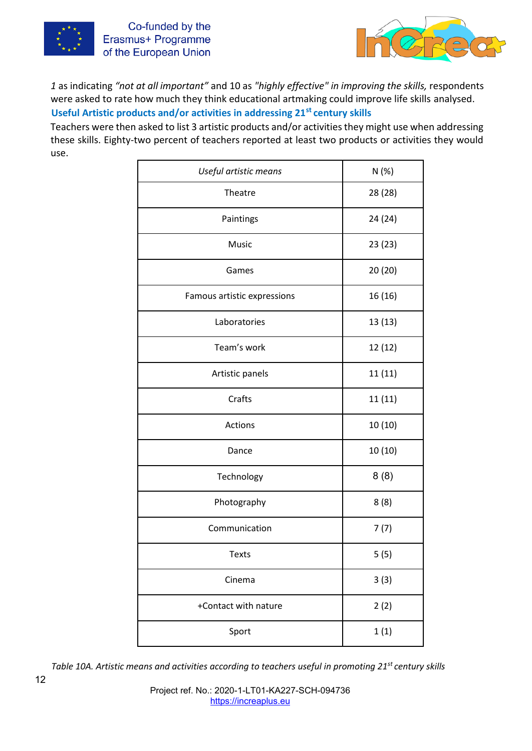



*1* as indicating *"not at all important"* and 10 as *"highly effective" in improving the skills,* respondents were asked to rate how much they think educational artmaking could improve life skills analysed. **Useful Artistic products and/or activities in addressing 21st century skills** 

Teachers were then asked to list 3 artistic products and/or activities they might use when addressing these skills. Eighty-two percent of teachers reported at least two products or activities they would use.

| Useful artistic means       | N(%)    |
|-----------------------------|---------|
| Theatre                     | 28 (28) |
| Paintings                   | 24 (24) |
| Music                       | 23(23)  |
| Games                       | 20 (20) |
| Famous artistic expressions | 16 (16) |
| Laboratories                | 13 (13) |
| Team's work                 | 12(12)  |
| Artistic panels             | 11 (11) |
| Crafts                      | 11 (11) |
| Actions                     | 10(10)  |
| Dance                       | 10 (10) |
| Technology                  | 8(8)    |
| Photography                 | 8(8)    |
| Communication               | 7(7)    |
| <b>Texts</b>                | 5(5)    |
| Cinema                      | 3(3)    |
| +Contact with nature        | 2(2)    |
| Sport                       | 1(1)    |

*Table 10A. Artistic means and activities according to teachers useful in promoting 21st century skills*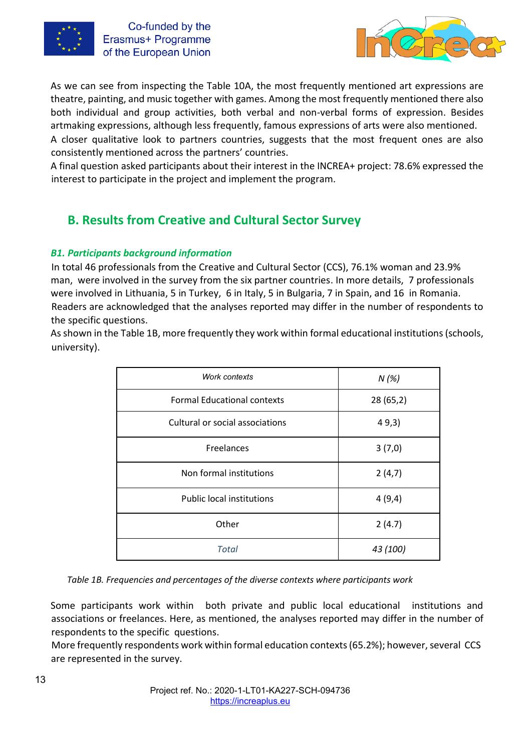



As we can see from inspecting the Table 10A, the most frequently mentioned art expressions are theatre, painting, and music together with games. Among the most frequently mentioned there also both individual and group activities, both verbal and non-verbal forms of expression. Besides artmaking expressions, although less frequently, famous expressions of arts were also mentioned. A closer qualitative look to partners countries, suggests that the most frequent ones are also

consistently mentioned across the partners' countries.

A final question asked participants about their interest in the INCREA+ project: 78.6% expressed the interest to participate in the project and implement the program.

# **B. Results from Creative and Cultural Sector Survey**

## *B1. Participants background information*

In total 46 professionals from the Creative and Cultural Sector (CCS), 76.1% woman and 23.9% man, were involved in the survey from the six partner countries. In more details, 7 professionals were involved in Lithuania, 5 in Turkey, 6 in Italy, 5 in Bulgaria, 7 in Spain, and 16 in Romania. Readers are acknowledged that the analyses reported may differ in the number of respondents to the specific questions.

As shown in the Table 1B, more frequently they work within formal educational institutions (schools, university).

| Work contexts                      | N(%)     |
|------------------------------------|----------|
| <b>Formal Educational contexts</b> | 28(65,2) |
| Cultural or social associations    | 49,3)    |
| Freelances                         | 3(7,0)   |
| Non formal institutions            | 2(4,7)   |
| <b>Public local institutions</b>   | 4(9,4)   |
| Other                              | 2(4.7)   |
| <b>Total</b>                       | 43 (100) |

*Table 1B. Frequencies and percentages of the diverse contexts where participants work* 

Some participants work within both private and public local educational institutions and associations or freelances. Here, as mentioned, the analyses reported may differ in the number of respondents to the specific questions.

More frequently respondents work within formal education contexts (65.2%); however, several CCS are represented in the survey.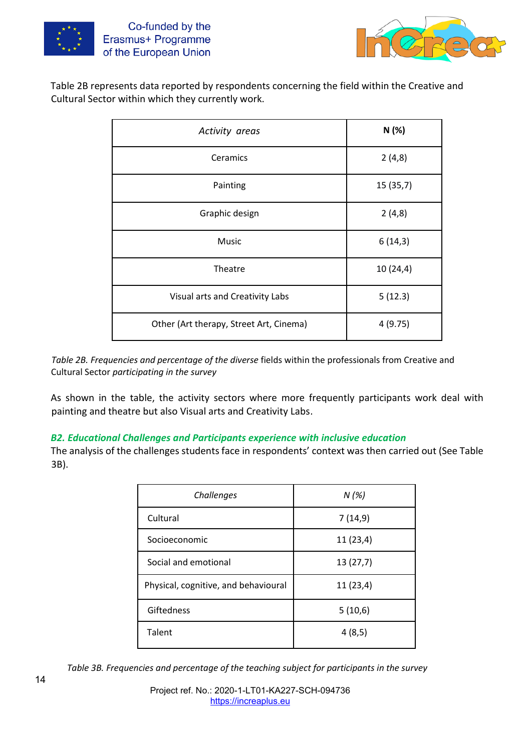



Table 2B represents data reported by respondents concerning the field within the Creative and Cultural Sector within which they currently work.

| Activity areas                          | N(%)     |
|-----------------------------------------|----------|
| Ceramics                                | 2(4,8)   |
| Painting                                | 15(35,7) |
| Graphic design                          | 2(4,8)   |
| Music                                   | 6(14,3)  |
| Theatre                                 | 10(24,4) |
| Visual arts and Creativity Labs         | 5(12.3)  |
| Other (Art therapy, Street Art, Cinema) | 4(9.75)  |

*Table 2B. Frequencies and percentage of the diverse* fields within the professionals from Creative and Cultural Sector *participating in the survey* 

As shown in the table, the activity sectors where more frequently participants work deal with painting and theatre but also Visual arts and Creativity Labs.

#### *B2. Educational Challenges and Participants experience with inclusive education*

The analysis of the challenges students face in respondents' context was then carried out (See Table 3B).

| Challenges                           | $N(\%)$  |
|--------------------------------------|----------|
| Cultural                             | 7(14,9)  |
| Socioeconomic                        | 11(23,4) |
| Social and emotional                 | 13(27,7) |
| Physical, cognitive, and behavioural | 11(23,4) |
| Giftedness                           | 5(10,6)  |
| Talent                               | 4(8,5)   |

*Table 3B. Frequencies and percentage of the teaching subject for participants in the survey*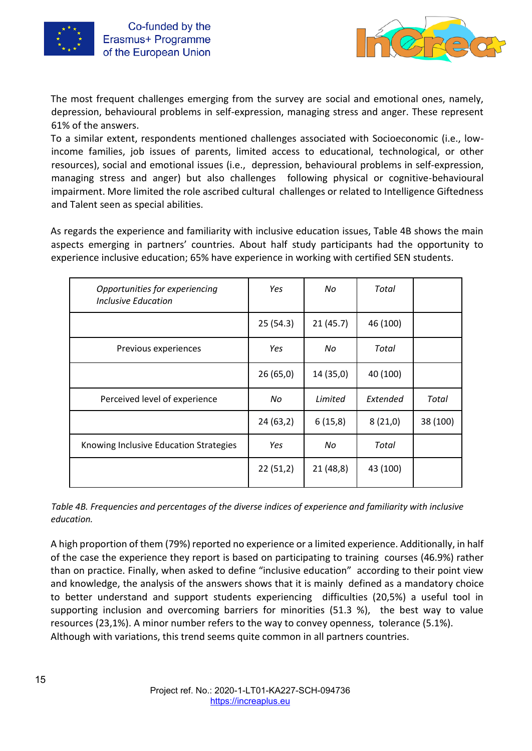



The most frequent challenges emerging from the survey are social and emotional ones, namely, depression, behavioural problems in self-expression, managing stress and anger. These represent 61% of the answers.

To a similar extent, respondents mentioned challenges associated with Socioeconomic (i.e., lowincome families, job issues of parents, limited access to educational, technological, or other resources), social and emotional issues (i.e., depression, behavioural problems in self-expression, managing stress and anger) but also challenges following physical or cognitive-behavioural impairment. More limited the role ascribed cultural challenges or related to Intelligence Giftedness and Talent seen as special abilities.

As regards the experience and familiarity with inclusive education issues, Table 4B shows the main aspects emerging in partners' countries. About half study participants had the opportunity to experience inclusive education; 65% have experience in working with certified SEN students.

| Opportunities for experiencing<br>Inclusive Education | Yes      | No        | Total    |          |
|-------------------------------------------------------|----------|-----------|----------|----------|
|                                                       | 25(54.3) | 21(45.7)  | 46 (100) |          |
| Previous experiences                                  | Yes      | No        | Total    |          |
|                                                       | 26(65,0) | 14 (35,0) | 40 (100) |          |
| Perceived level of experience                         | No       | Limited   | Extended | Total    |
|                                                       | 24(63,2) | 6(15,8)   | 8(21,0)  | 38 (100) |
| Knowing Inclusive Education Strategies                | Yes      | No        | Total    |          |
|                                                       | 22(51,2) | 21(48,8)  | 43 (100) |          |

*Table 4B. Frequencies and percentages of the diverse indices of experience and familiarity with inclusive education.* 

A high proportion of them (79%) reported no experience or a limited experience. Additionally, in half of the case the experience they report is based on participating to training courses (46.9%) rather than on practice. Finally, when asked to define "inclusive education" according to their point view and knowledge, the analysis of the answers shows that it is mainly defined as a mandatory choice to better understand and support students experiencing difficulties (20,5%) a useful tool in supporting inclusion and overcoming barriers for minorities (51.3 %), the best way to value resources (23,1%). A minor number refers to the way to convey openness, tolerance (5.1%). Although with variations, this trend seems quite common in all partners countries.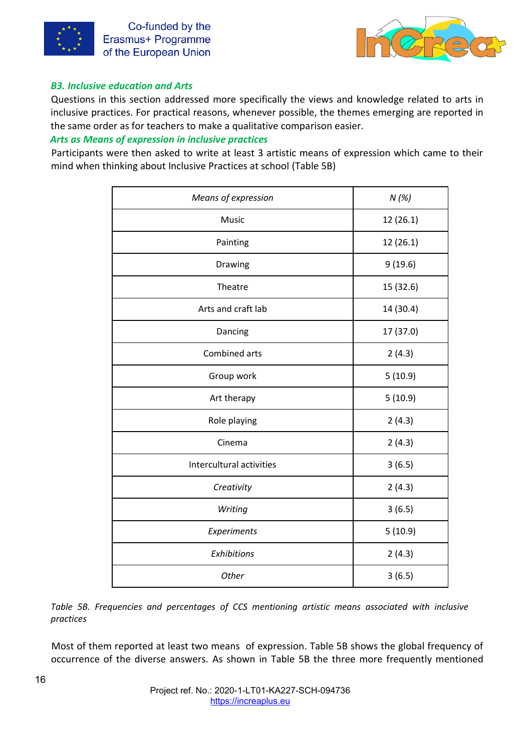



#### *B3. Inclusive education and Arts*

Questions in this section addressed more specifically the views and knowledge related to arts in inclusive practices. For practical reasons, whenever possible, the themes emerging are reported in the same order as for teachers to make a qualitative comparison easier.

#### *Arts as Means of expression in inclusive practices*

Participants were then asked to write at least 3 artistic means of expression which came to their mind when thinking about Inclusive Practices at school (Table 5B)

| Means of expression      | N(%)      |
|--------------------------|-----------|
| Music                    | 12 (26.1) |
| Painting                 | 12 (26.1) |
| Drawing                  | 9(19.6)   |
| Theatre                  | 15 (32.6) |
| Arts and craft lab       | 14 (30.4) |
| Dancing                  | 17 (37.0) |
| Combined arts            | 2(4.3)    |
| Group work               | 5(10.9)   |
| Art therapy              | 5(10.9)   |
| Role playing             | 2(4.3)    |
| Cinema                   | 2(4.3)    |
| Intercultural activities | 3(6.5)    |
| Creativity               | 2(4.3)    |
| Writing                  | 3(6.5)    |
| Experiments              | 5(10.9)   |
| Exhibitions              | 2(4.3)    |
| Other                    | 3(6.5)    |

*Table 5B. Frequencies and percentages of CCS mentioning artistic means associated with inclusive practices* 

Most of them reported at least two means of expression. Table 5B shows the global frequency of occurrence of the diverse answers. As shown in Table 5B the three more frequently mentioned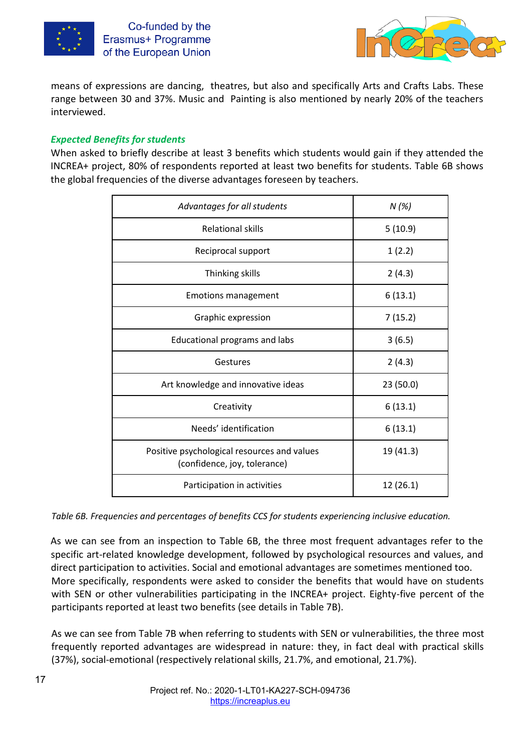



means of expressions are dancing, theatres, but also and specifically Arts and Crafts Labs. These range between 30 and 37%. Music and Painting is also mentioned by nearly 20% of the teachers interviewed.

#### *Expected Benefits for students*

When asked to briefly describe at least 3 benefits which students would gain if they attended the INCREA+ project, 80% of respondents reported at least two benefits for students. Table 6B shows the global frequencies of the diverse advantages foreseen by teachers.

| Advantages for all students                                                 | N(%)      |
|-----------------------------------------------------------------------------|-----------|
| <b>Relational skills</b>                                                    | 5(10.9)   |
| Reciprocal support                                                          | 1(2.2)    |
| Thinking skills                                                             | 2(4.3)    |
| <b>Emotions management</b>                                                  | 6(13.1)   |
| Graphic expression                                                          | 7(15.2)   |
| Educational programs and labs                                               | 3(6.5)    |
| Gestures                                                                    | 2(4.3)    |
| Art knowledge and innovative ideas                                          | 23 (50.0) |
| Creativity                                                                  | 6(13.1)   |
| Needs' identification                                                       | 6(13.1)   |
| Positive psychological resources and values<br>(confidence, joy, tolerance) | 19 (41.3) |
| Participation in activities                                                 | 12(26.1)  |

*Table 6B. Frequencies and percentages of benefits CCS for students experiencing inclusive education.* 

As we can see from an inspection to Table 6B, the three most frequent advantages refer to the specific art-related knowledge development, followed by psychological resources and values, and direct participation to activities. Social and emotional advantages are sometimes mentioned too. More specifically, respondents were asked to consider the benefits that would have on students with SEN or other vulnerabilities participating in the INCREA+ project. Eighty-five percent of the participants reported at least two benefits (see details in Table 7B).

As we can see from Table 7B when referring to students with SEN or vulnerabilities, the three most frequently reported advantages are widespread in nature: they, in fact deal with practical skills (37%), social-emotional (respectively relational skills, 21.7%, and emotional, 21.7%).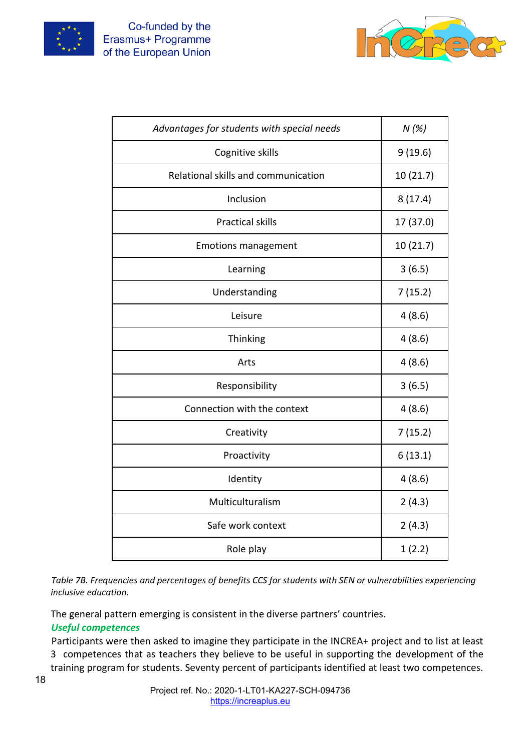



| Advantages for students with special needs | N(%)      |
|--------------------------------------------|-----------|
| Cognitive skills                           | 9(19.6)   |
| Relational skills and communication        | 10 (21.7) |
| Inclusion                                  | 8(17.4)   |
| <b>Practical skills</b>                    | 17 (37.0) |
| <b>Emotions management</b>                 | 10 (21.7) |
| Learning                                   | 3(6.5)    |
| Understanding                              | 7(15.2)   |
| Leisure                                    | 4(8.6)    |
| <b>Thinking</b>                            | 4(8.6)    |
| Arts                                       | 4(8.6)    |
| Responsibility                             | 3(6.5)    |
| Connection with the context                | 4(8.6)    |
| Creativity                                 | 7(15.2)   |
| Proactivity                                | 6(13.1)   |
| Identity                                   | 4(8.6)    |
| Multiculturalism                           | 2(4.3)    |
| Safe work context                          | 2(4.3)    |
| Role play                                  | 1(2.2)    |

*Table 7B. Frequencies and percentages of benefits CCS for students with SEN or vulnerabilities experiencing inclusive education.* 

The general pattern emerging is consistent in the diverse partners' countries. *Useful competences* 

Participants were then asked to imagine they participate in the INCREA+ project and to list at least 3 competences that as teachers they believe to be useful in supporting the development of the training program for students. Seventy percent of participants identified at least two competences.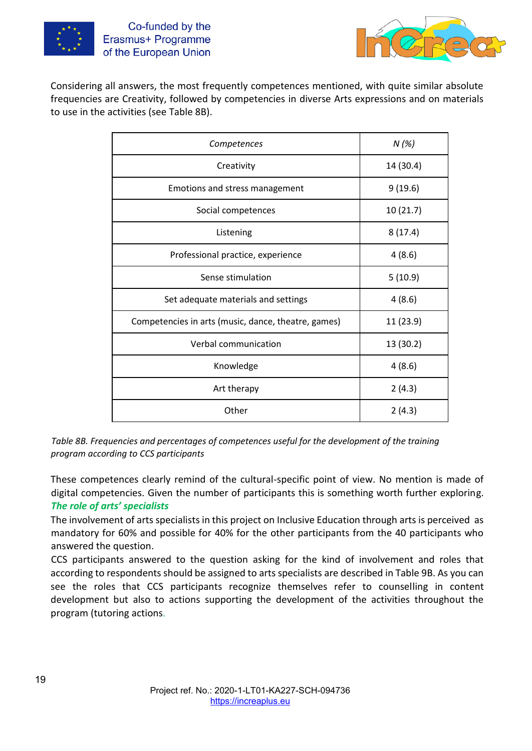



Considering all answers, the most frequently competences mentioned, with quite similar absolute frequencies are Creativity, followed by competencies in diverse Arts expressions and on materials to use in the activities (see Table 8B).

| Competences                                         | N(%)      |
|-----------------------------------------------------|-----------|
| Creativity                                          | 14 (30.4) |
| Emotions and stress management                      | 9(19.6)   |
| Social competences                                  | 10(21.7)  |
| Listening                                           | 8(17.4)   |
| Professional practice, experience                   | 4(8.6)    |
| Sense stimulation                                   | 5(10.9)   |
| Set adequate materials and settings                 | 4(8.6)    |
| Competencies in arts (music, dance, theatre, games) | 11 (23.9) |
| Verbal communication                                | 13 (30.2) |
| Knowledge                                           | 4(8.6)    |
| Art therapy                                         | 2(4.3)    |
| Other                                               | 2(4.3)    |

*Table 8B. Frequencies and percentages of competences useful for the development of the training program according to CCS participants* 

These competences clearly remind of the cultural-specific point of view. No mention is made of digital competencies. Given the number of participants this is something worth further exploring. *The role of arts' specialists* 

The involvement of arts specialists in this project on Inclusive Education through arts is perceived as mandatory for 60% and possible for 40% for the other participants from the 40 participants who answered the question.

CCS participants answered to the question asking for the kind of involvement and roles that according to respondents should be assigned to arts specialists are described in Table 9B. As you can see the roles that CCS participants recognize themselves refer to counselling in content development but also to actions supporting the development of the activities throughout the program (tutoring actions.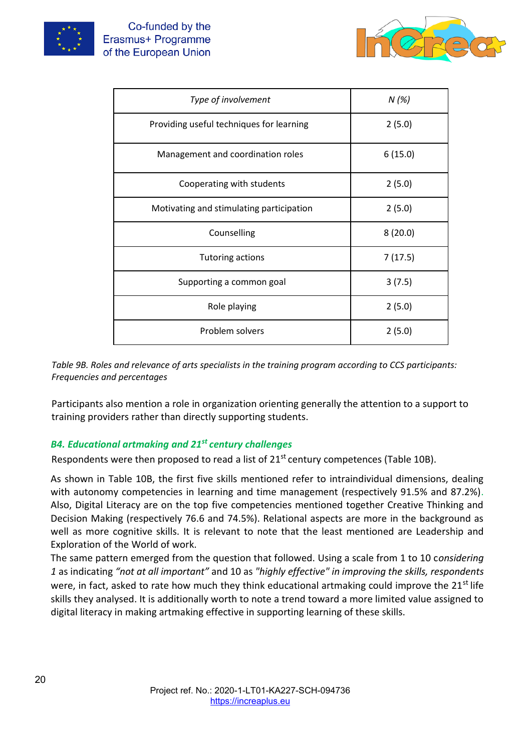



| Type of involvement                      | N(%)    |
|------------------------------------------|---------|
| Providing useful techniques for learning | 2(5.0)  |
| Management and coordination roles        | 6(15.0) |
| Cooperating with students                | 2(5.0)  |
| Motivating and stimulating participation | 2(5.0)  |
| Counselling                              | 8(20.0) |
| <b>Tutoring actions</b>                  | 7(17.5) |
| Supporting a common goal                 | 3(7.5)  |
| Role playing                             | 2(5.0)  |
| Problem solvers                          | 2(5.0)  |

*Table 9B. Roles and relevance of arts specialists in the training program according to CCS participants: Frequencies and percentages* 

Participants also mention a role in organization orienting generally the attention to a support to training providers rather than directly supporting students.

## *B4. Educational artmaking and 21st century challenges*

Respondents were then proposed to read a list of  $21<sup>st</sup>$  century competences (Table 10B).

As shown in Table 10B, the first five skills mentioned refer to intraindividual dimensions, dealing with autonomy competencies in learning and time management (respectively 91.5% and 87.2%). Also, Digital Literacy are on the top five competencies mentioned together Creative Thinking and Decision Making (respectively 76.6 and 74.5%). Relational aspects are more in the background as well as more cognitive skills. It is relevant to note that the least mentioned are Leadership and Exploration of the World of work.

The same pattern emerged from the question that followed. Using a scale from 1 to 10 c*onsidering 1* as indicating *"not at all important"* and 10 as *"highly effective" in improving the skills, respondents*  were, in fact, asked to rate how much they think educational artmaking could improve the 21<sup>st</sup> life skills they analysed. It is additionally worth to note a trend toward a more limited value assigned to digital literacy in making artmaking effective in supporting learning of these skills.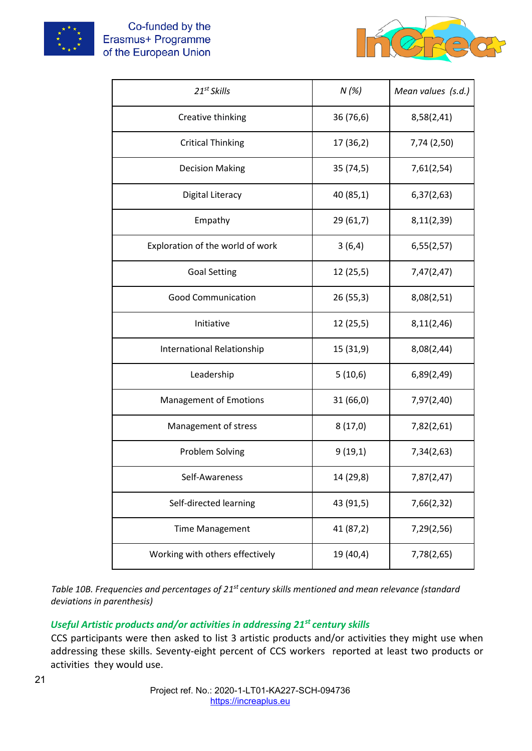



| 21 <sup>st</sup> Skills           | N(%)      | Mean values (s.d.) |
|-----------------------------------|-----------|--------------------|
| Creative thinking                 | 36 (76,6) | 8,58(2,41)         |
| <b>Critical Thinking</b>          | 17 (36,2) | 7,74 (2,50)        |
| <b>Decision Making</b>            | 35 (74,5) | 7,61(2,54)         |
| Digital Literacy                  | 40 (85,1) | 6,37(2,63)         |
| Empathy                           | 29 (61,7) | 8,11(2,39)         |
| Exploration of the world of work  | 3(6,4)    | 6,55(2,57)         |
| <b>Goal Setting</b>               | 12(25,5)  | 7,47(2,47)         |
| <b>Good Communication</b>         | 26(55,3)  | 8,08(2,51)         |
| Initiative                        | 12(25,5)  | 8,11(2,46)         |
| <b>International Relationship</b> | 15 (31,9) | 8,08(2,44)         |
| Leadership                        | 5(10,6)   | 6,89(2,49)         |
| <b>Management of Emotions</b>     | 31 (66,0) | 7,97(2,40)         |
| Management of stress              | 8(17,0)   | 7,82(2,61)         |
| Problem Solving                   | 9(19,1)   | 7,34(2,63)         |
| Self-Awareness                    | 14 (29,8) | 7,87(2,47)         |
| Self-directed learning            | 43 (91,5) | 7,66(2,32)         |
| <b>Time Management</b>            | 41 (87,2) | 7,29(2,56)         |
| Working with others effectively   | 19 (40,4) | 7,78(2,65)         |

*Table 10B. Frequencies and percentages of 21st century skills mentioned and mean relevance (standard deviations in parenthesis)* 

# *Useful Artistic products and/or activities in addressing 21st century skills*

CCS participants were then asked to list 3 artistic products and/or activities they might use when addressing these skills. Seventy-eight percent of CCS workers reported at least two products or activities they would use.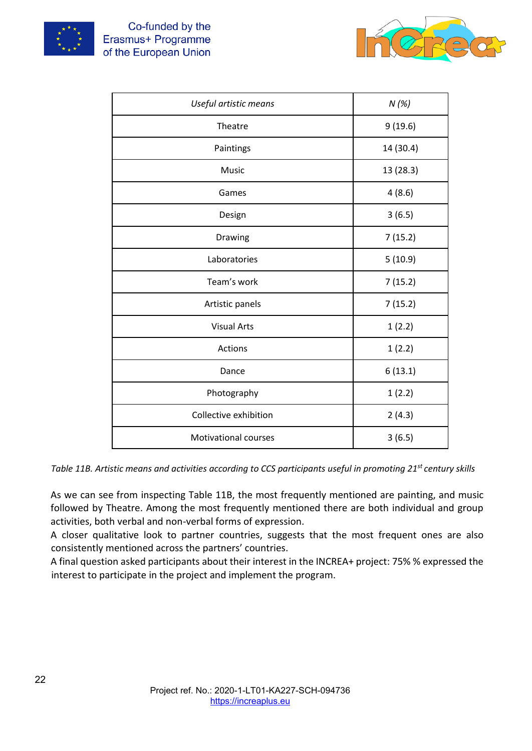



| Useful artistic means       | N(%)      |
|-----------------------------|-----------|
| Theatre                     | 9(19.6)   |
| Paintings                   | 14 (30.4) |
| Music                       | 13 (28.3) |
| Games                       | 4(8.6)    |
| Design                      | 3(6.5)    |
| Drawing                     | 7(15.2)   |
| Laboratories                | 5(10.9)   |
| Team's work                 | 7(15.2)   |
| Artistic panels             | 7(15.2)   |
| <b>Visual Arts</b>          | 1(2.2)    |
| Actions                     | 1(2.2)    |
| Dance                       | 6(13.1)   |
| Photography                 | 1(2.2)    |
| Collective exhibition       | 2(4.3)    |
| <b>Motivational courses</b> | 3(6.5)    |

*Table 11B. Artistic means and activities according to CCS participants useful in promoting 21st century skills* 

As we can see from inspecting Table 11B, the most frequently mentioned are painting, and music followed by Theatre. Among the most frequently mentioned there are both individual and group activities, both verbal and non-verbal forms of expression.

A closer qualitative look to partner countries, suggests that the most frequent ones are also consistently mentioned across the partners' countries.

A final question asked participants about their interest in the INCREA+ project: 75% % expressed the interest to participate in the project and implement the program.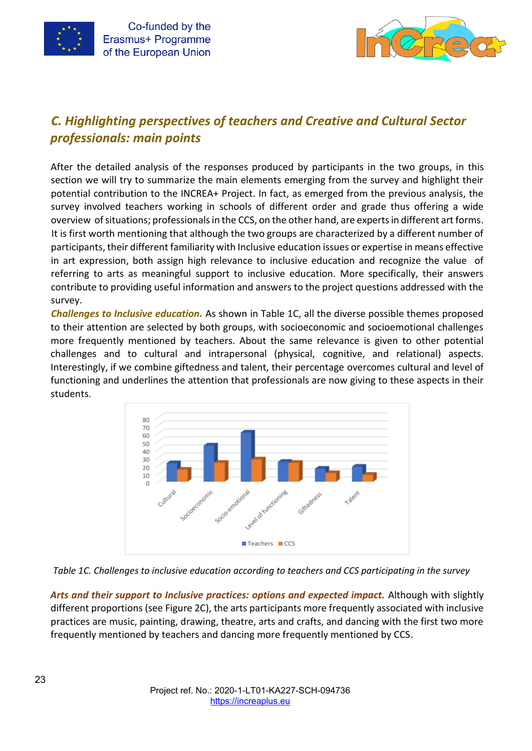



# *C. Highlighting perspectives of teachers and Creative and Cultural Sector professionals: main points*

After the detailed analysis of the responses produced by participants in the two groups, in this section we will try to summarize the main elements emerging from the survey and highlight their potential contribution to the INCREA+ Project. In fact, as emerged from the previous analysis, the survey involved teachers working in schools of different order and grade thus offering a wide overview of situations; professionals in the CCS, on the other hand, are experts in different art forms. It is first worth mentioning that although the two groups are characterized by a different number of participants, their different familiarity with Inclusive education issues or expertise in means effective in art expression, both assign high relevance to inclusive education and recognize the value of referring to arts as meaningful support to inclusive education. More specifically, their answers contribute to providing useful information and answers to the project questions addressed with the survey.

*Challenges to Inclusive education.* As shown in Table 1C, all the diverse possible themes proposed to their attention are selected by both groups, with socioeconomic and socioemotional challenges more frequently mentioned by teachers. About the same relevance is given to other potential challenges and to cultural and intrapersonal (physical, cognitive, and relational) aspects. Interestingly, if we combine giftedness and talent, their percentage overcomes cultural and level of functioning and underlines the attention that professionals are now giving to these aspects in their students.





Arts and their support to Inclusive practices: options and expected impact. Although with slightly different proportions (see Figure 2C), the arts participants more frequently associated with inclusive practices are music, painting, drawing, theatre, arts and crafts, and dancing with the first two more frequently mentioned by teachers and dancing more frequently mentioned by CCS.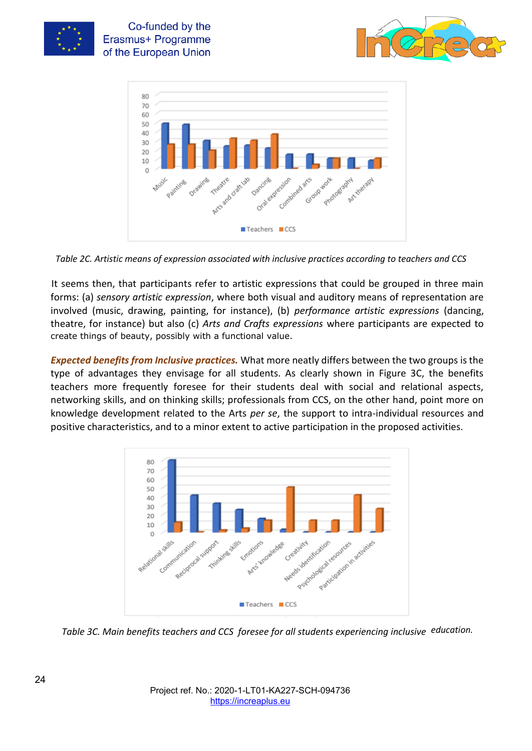

Co-funded by the Erasmus+ Programme of the European Union





*Table 2C. Artistic means of expression associated with inclusive practices according to teachers and CCS* 

It seems then, that participants refer to artistic expressions that could be grouped in three main forms: (a) *sensory artistic expression*, where both visual and auditory means of representation are involved (music, drawing, painting, for instance), (b) *performance artistic expressions* (dancing, theatre, for instance) but also (c) *Arts and Crafts expressions* where participants are expected to create things of beauty, possibly with a functional value.

*Expected benefits from Inclusive practices.* What more neatly differs between the two groups is the type of advantages they envisage for all students. As clearly shown in Figure 3C, the benefits teachers more frequently foresee for their students deal with social and relational aspects, networking skills, and on thinking skills; professionals from CCS, on the other hand, point more on knowledge development related to the Arts *per se*, the support to intra-individual resources and positive characteristics, and to a minor extent to active participation in the proposed activities.



*Table 3C. Main benefits teachers and CCS foresee for all students experiencing inclusive education.*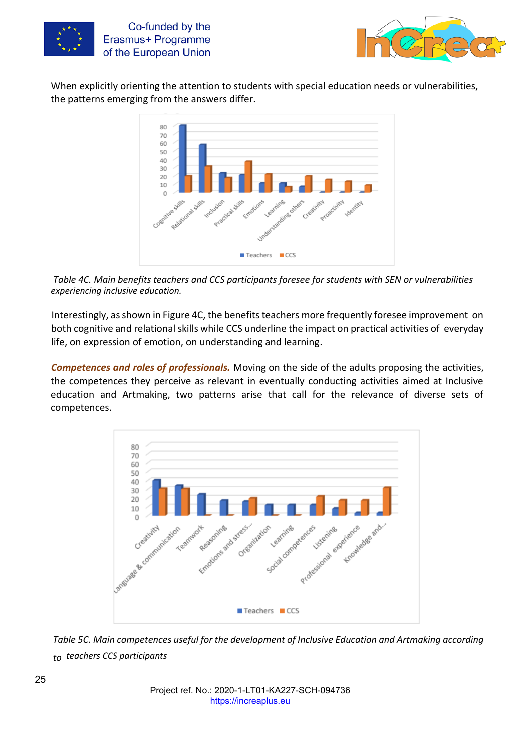



When explicitly orienting the attention to students with special education needs or vulnerabilities, the patterns emerging from the answers differ.



*Table 4C. Main benefits teachers and CCS participants foresee for students with SEN or vulnerabilities experiencing inclusive education.* 

Interestingly, as shown in Figure 4C, the benefits teachers more frequently foresee improvement on both cognitive and relational skills while CCS underline the impact on practical activities of everyday life, on expression of emotion, on understanding and learning.

*Competences and roles of professionals.* Moving on the side of the adults proposing the activities, the competences they perceive as relevant in eventually conducting activities aimed at Inclusive education and Artmaking, two patterns arise that call for the relevance of diverse sets of competences.



*Table 5C. Main competences useful for the development of Inclusive Education and Artmaking according to teachers CCS participants*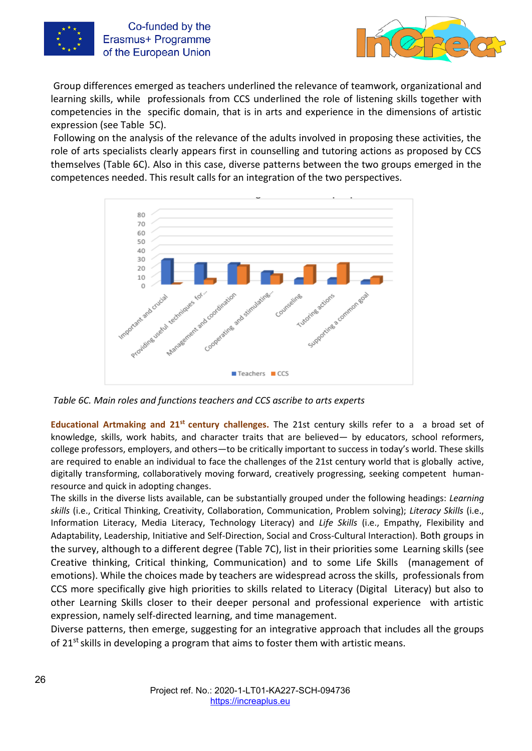



Group differences emerged as teachers underlined the relevance of teamwork, organizational and learning skills, while professionals from CCS underlined the role of listening skills together with competencies in the specific domain, that is in arts and experience in the dimensions of artistic expression (see Table 5C).

Following on the analysis of the relevance of the adults involved in proposing these activities, the role of arts specialists clearly appears first in counselling and tutoring actions as proposed by CCS themselves (Table 6C). Also in this case, diverse patterns between the two groups emerged in the competences needed. This result calls for an integration of the two perspectives.



*Table 6C. Main roles and functions teachers and CCS ascribe to arts experts* 

**Educational Artmaking and 21st century challenges.** The 21st century skills refer to a a broad set of knowledge, skills, work habits, and character traits that are believed— by educators, school reformers, college professors, employers, and others—to be critically important to success in today's world. These skills are required to enable an individual to face the challenges of the 21st century world that is globally active, digitally transforming, collaboratively moving forward, creatively progressing, seeking competent humanresource and quick in adopting changes.

The skills in the diverse lists available, can be substantially grouped under the following headings: *Learning skills* (i.e., Critical Thinking, Creativity, Collaboration, Communication, Problem solving); *Literacy Skills* (i.e., Information Literacy, Media Literacy, Technology Literacy) and *Life Skills* (i.e., Empathy, Flexibility and Adaptability, Leadership, Initiative and Self-Direction, Social and Cross-Cultural Interaction). Both groups in the survey, although to a different degree (Table 7C), list in their priorities some Learning skills (see Creative thinking, Critical thinking, Communication) and to some Life Skills (management of emotions). While the choices made by teachers are widespread across the skills, professionals from CCS more specifically give high priorities to skills related to Literacy (Digital Literacy) but also to other Learning Skills closer to their deeper personal and professional experience with artistic expression, namely self-directed learning, and time management.

Diverse patterns, then emerge, suggesting for an integrative approach that includes all the groups of 21<sup>st</sup> skills in developing a program that aims to foster them with artistic means.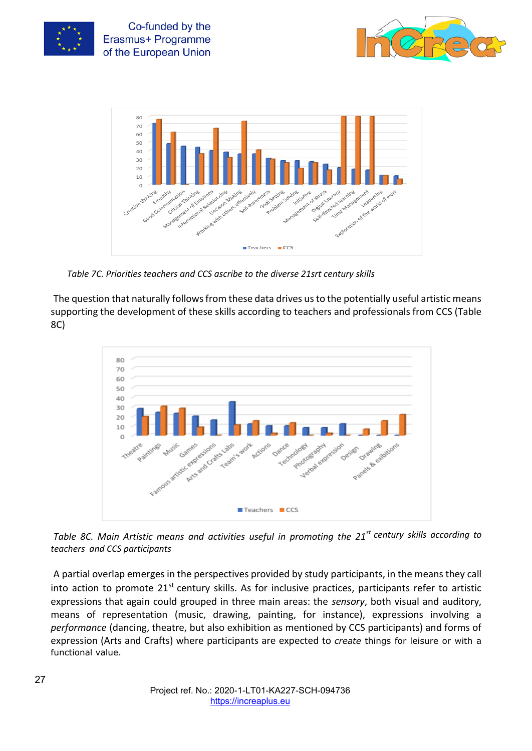

Co-funded by the Erasmus+ Programme of the European Union





*Table 7C. Priorities teachers and CCS ascribe to the diverse 21srt century skills* 

The question that naturally follows from these data drives us to the potentially useful artistic means supporting the development of these skills according to teachers and professionals from CCS (Table 8C)



*Table 8C. Main Artistic means and activities useful in promoting the 21st century skills according to teachers and CCS participants* 

A partial overlap emerges in the perspectives provided by study participants, in the means they call into action to promote  $21^{st}$  century skills. As for inclusive practices, participants refer to artistic expressions that again could grouped in three main areas: the *sensory*, both visual and auditory, means of representation (music, drawing, painting, for instance), expressions involving a *performance* (dancing, theatre, but also exhibition as mentioned by CCS participants) and forms of expression (Arts and Crafts) where participants are expected to *create* things for leisure or with a functional value.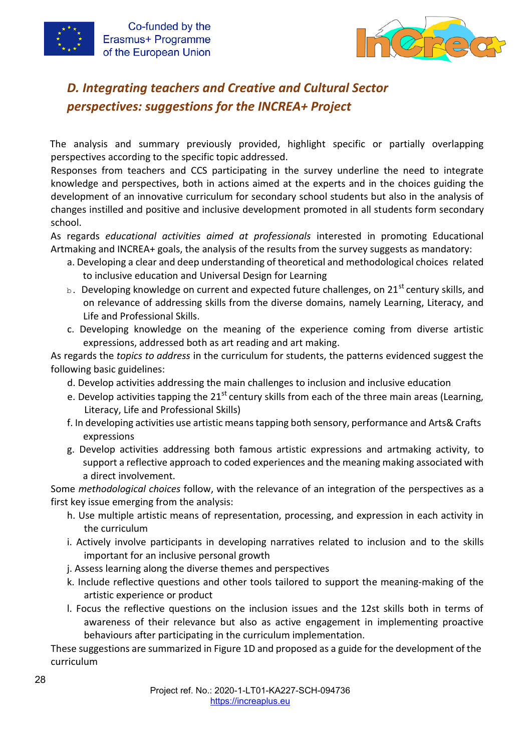



# *D. Integrating teachers and Creative and Cultural Sector perspectives: suggestions for the INCREA+ Project*

The analysis and summary previously provided, highlight specific or partially overlapping perspectives according to the specific topic addressed.

Responses from teachers and CCS participating in the survey underline the need to integrate knowledge and perspectives, both in actions aimed at the experts and in the choices guiding the development of an innovative curriculum for secondary school students but also in the analysis of changes instilled and positive and inclusive development promoted in all students form secondary school.

As regards *educational activities aimed at professionals* interested in promoting Educational Artmaking and INCREA+ goals, the analysis of the results from the survey suggests as mandatory:

- a. Developing a clear and deep understanding of theoretical and methodological choices related to inclusive education and Universal Design for Learning
- $b.$  Developing knowledge on current and expected future challenges, on 21st century skills, and on relevance of addressing skills from the diverse domains, namely Learning, Literacy, and Life and Professional Skills.
- c. Developing knowledge on the meaning of the experience coming from diverse artistic expressions, addressed both as art reading and art making.

As regards the *topics to address* in the curriculum for students, the patterns evidenced suggest the following basic guidelines:

- d. Develop activities addressing the main challenges to inclusion and inclusive education
- e. Develop activities tapping the  $21^{st}$  century skills from each of the three main areas (Learning, Literacy, Life and Professional Skills)
- f. In developing activities use artistic means tapping both sensory, performance and Arts& Crafts expressions
- g. Develop activities addressing both famous artistic expressions and artmaking activity, to support a reflective approach to coded experiences and the meaning making associated with a direct involvement.

Some *methodological choices* follow, with the relevance of an integration of the perspectives as a first key issue emerging from the analysis:

- h. Use multiple artistic means of representation, processing, and expression in each activity in the curriculum
- i. Actively involve participants in developing narratives related to inclusion and to the skills important for an inclusive personal growth
- j. Assess learning along the diverse themes and perspectives
- k. Include reflective questions and other tools tailored to support the meaning-making of the artistic experience or product
- l. Focus the reflective questions on the inclusion issues and the 12st skills both in terms of awareness of their relevance but also as active engagement in implementing proactive behaviours after participating in the curriculum implementation.

These suggestions are summarized in Figure 1D and proposed as a guide for the development of the curriculum